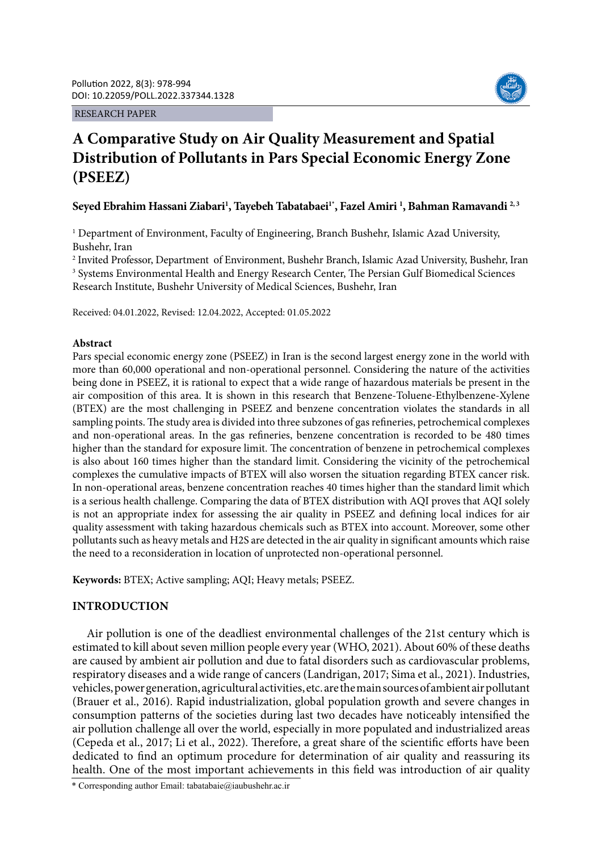RESEARCH PAPER



# **A Comparative Study on Air Quality Measurement and Spatial Distribution of Pollutants in Pars Special Economic Energy Zone (PSEEZ)**

**Seyed Ebrahim Hassani Ziabari1 , Tayebeh Tabatabaei1\*, Fazel Amiri 1 , Bahman Ramavandi 2, 3**

<sup>1</sup> Department of Environment, Faculty of Engineering, Branch Bushehr, Islamic Azad University, Bushehr, Iran

2 Invited Professor, Department of Environment, Bushehr Branch, Islamic Azad University, Bushehr, Iran <sup>3</sup> Systems Environmental Health and Energy Research Center, The Persian Gulf Biomedical Sciences Research Institute, Bushehr University of Medical Sciences, Bushehr, Iran

Received: 04.01.2022, Revised: 12.04.2022, Accepted: 01.05.2022

# **Abstract**

Pars special economic energy zone (PSEEZ) in Iran is the second largest energy zone in the world with more than 60,000 operational and non-operational personnel. Considering the nature of the activities being done in PSEEZ, it is rational to expect that a wide range of hazardous materials be present in the air composition of this area. It is shown in this research that Benzene-Toluene-Ethylbenzene-Xylene (BTEX) are the most challenging in PSEEZ and benzene concentration violates the standards in all sampling points. The study area is divided into three subzones of gas refineries, petrochemical complexes and non-operational areas. In the gas refineries, benzene concentration is recorded to be 480 times higher than the standard for exposure limit. The concentration of benzene in petrochemical complexes is also about 160 times higher than the standard limit. Considering the vicinity of the petrochemical complexes the cumulative impacts of BTEX will also worsen the situation regarding BTEX cancer risk. In non-operational areas, benzene concentration reaches 40 times higher than the standard limit which is a serious health challenge. Comparing the data of BTEX distribution with AQI proves that AQI solely is not an appropriate index for assessing the air quality in PSEEZ and defining local indices for air quality assessment with taking hazardous chemicals such as BTEX into account. Moreover, some other pollutants such as heavy metals and H2S are detected in the air quality in significant amounts which raise the need to a reconsideration in location of unprotected non-operational personnel.

**Keywords:** BTEX; Active sampling; AQI; Heavy metals; PSEEZ.

# **INTRODUCTION**

Air pollution is one of the deadliest environmental challenges of the 21st century which is estimated to kill about seven million people every year (WHO, 2021). About 60% of these deaths are caused by ambient air pollution and due to fatal disorders such as cardiovascular problems, respiratory diseases and a wide range of cancers (Landrigan, 2017; Sima et al., 2021). Industries, vehicles, power generation, agricultural activities, etc. are the main sources of ambient air pollutant (Brauer et al., 2016). Rapid industrialization, global population growth and severe changes in consumption patterns of the societies during last two decades have noticeably intensified the air pollution challenge all over the world, especially in more populated and industrialized areas (Cepeda et al., 2017; Li et al., 2022). Therefore, a great share of the scientific efforts have been dedicated to find an optimum procedure for determination of air quality and reassuring its health. One of the most important achievements in this field was introduction of air quality

\* Corresponding author Email: tabatabaie@iaubushehr.ac.ir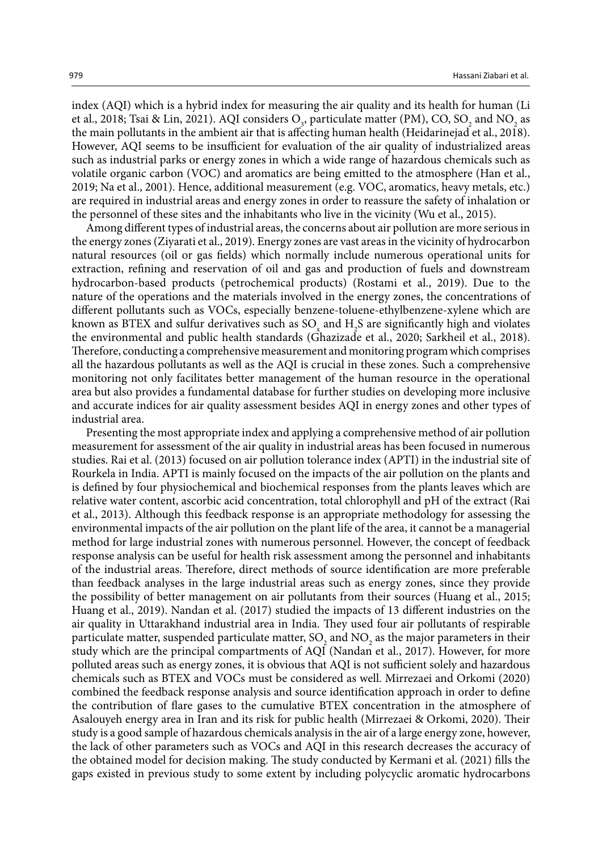index (AQI) which is a hybrid index for measuring the air quality and its health for human (Li et al., 2018; Tsai & Lin, 2021). AQI considers  $O_3$ , particulate matter (PM), CO, SO<sub>2</sub> and NO<sub>2</sub> as the main pollutants in the ambient air that is affecting human health (Heidarinejad et al., 2018). However, AQI seems to be insufficient for evaluation of the air quality of industrialized areas such as industrial parks or energy zones in which a wide range of hazardous chemicals such as volatile organic carbon (VOC) and aromatics are being emitted to the atmosphere (Han et al., 2019; Na et al., 2001). Hence, additional measurement (e.g. VOC, aromatics, heavy metals, etc.) are required in industrial areas and energy zones in order to reassure the safety of inhalation or the personnel of these sites and the inhabitants who live in the vicinity (Wu et al., 2015).

Among different types of industrial areas, the concerns about air pollution are more serious in the energy zones (Ziyarati et al., 2019). Energy zones are vast areas in the vicinity of hydrocarbon natural resources (oil or gas fields) which normally include numerous operational units for extraction, refining and reservation of oil and gas and production of fuels and downstream hydrocarbon-based products (petrochemical products) (Rostami et al., 2019). Due to the nature of the operations and the materials involved in the energy zones, the concentrations of different pollutants such as VOCs, especially benzene-toluene-ethylbenzene-xylene which are known as BTEX and sulfur derivatives such as  $SO_{x}$  and  $H_{2}S$  are significantly high and violates the environmental and public health standards (Ghazizade et al., 2020; Sarkheil et al., 2018). Therefore, conducting a comprehensive measurement and monitoring program which comprises all the hazardous pollutants as well as the AQI is crucial in these zones. Such a comprehensive monitoring not only facilitates better management of the human resource in the operational area but also provides a fundamental database for further studies on developing more inclusive and accurate indices for air quality assessment besides AQI in energy zones and other types of industrial area.

Presenting the most appropriate index and applying a comprehensive method of air pollution measurement for assessment of the air quality in industrial areas has been focused in numerous studies. Rai et al. (2013) focused on air pollution tolerance index (APTI) in the industrial site of Rourkela in India. APTI is mainly focused on the impacts of the air pollution on the plants and is defined by four physiochemical and biochemical responses from the plants leaves which are relative water content, ascorbic acid concentration, total chlorophyll and pH of the extract (Rai et al., 2013). Although this feedback response is an appropriate methodology for assessing the environmental impacts of the air pollution on the plant life of the area, it cannot be a managerial method for large industrial zones with numerous personnel. However, the concept of feedback response analysis can be useful for health risk assessment among the personnel and inhabitants of the industrial areas. Therefore, direct methods of source identification are more preferable than feedback analyses in the large industrial areas such as energy zones, since they provide the possibility of better management on air pollutants from their sources (Huang et al., 2015; Huang et al., 2019). Nandan et al. (2017) studied the impacts of 13 different industries on the air quality in Uttarakhand industrial area in India. They used four air pollutants of respirable particulate matter, suspended particulate matter,  $SO_2$  and  $NO_2$  as the major parameters in their study which are the principal compartments of AQI (Nandan et al., 2017). However, for more polluted areas such as energy zones, it is obvious that AQI is not sufficient solely and hazardous chemicals such as BTEX and VOCs must be considered as well. Mirrezaei and Orkomi (2020) combined the feedback response analysis and source identification approach in order to define the contribution of flare gases to the cumulative BTEX concentration in the atmosphere of Asalouyeh energy area in Iran and its risk for public health (Mirrezaei & Orkomi, 2020). Their study is a good sample of hazardous chemicals analysis in the air of a large energy zone, however, the lack of other parameters such as VOCs and AQI in this research decreases the accuracy of the obtained model for decision making. The study conducted by Kermani et al. (2021) fills the gaps existed in previous study to some extent by including polycyclic aromatic hydrocarbons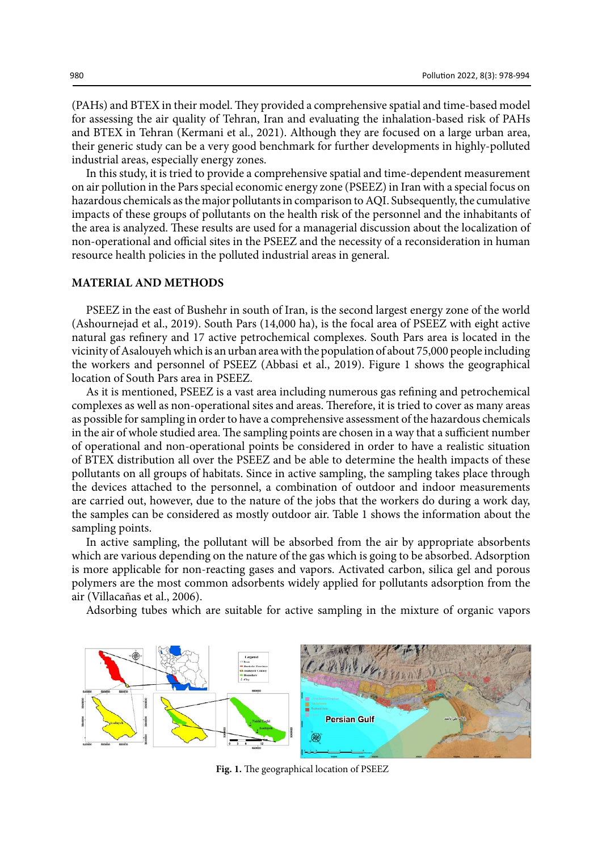(PAHs) and BTEX in their model. They provided a comprehensive spatial and time-based model for assessing the air quality of Tehran, Iran and evaluating the inhalation-based risk of PAHs and BTEX in Tehran (Kermani et al., 2021). Although they are focused on a large urban area, their generic study can be a very good benchmark for further developments in highly-polluted industrial areas, especially energy zones.

In this study, it is tried to provide a comprehensive spatial and time-dependent measurement on air pollution in the Pars special economic energy zone (PSEEZ) in Iran with a special focus on hazardous chemicals as the major pollutants in comparison to AQI. Subsequently, the cumulative impacts of these groups of pollutants on the health risk of the personnel and the inhabitants of the area is analyzed. These results are used for a managerial discussion about the localization of non-operational and official sites in the PSEEZ and the necessity of a reconsideration in human resource health policies in the polluted industrial areas in general.

# **MATERIAL AND METHODS**

PSEEZ in the east of Bushehr in south of Iran, is the second largest energy zone of the world (Ashournejad et al., 2019). South Pars (14,000 ha), is the focal area of PSEEZ with eight active natural gas refinery and 17 active petrochemical complexes. South Pars area is located in the vicinity of Asalouyeh which is an urban area with the population of about 75,000 people including the workers and personnel of PSEEZ (Abbasi et al., 2019). Figure 1 shows the geographical location of South Pars area in PSEEZ.

As it is mentioned, PSEEZ is a vast area including numerous gas refining and petrochemical complexes as well as non-operational sites and areas. Therefore, it is tried to cover as many areas as possible for sampling in order to have a comprehensive assessment of the hazardous chemicals in the air of whole studied area. The sampling points are chosen in a way that a sufficient number of operational and non-operational points be considered in order to have a realistic situation of BTEX distribution all over the PSEEZ and be able to determine the health impacts of these pollutants on all groups of habitats. Since in active sampling, the sampling takes place through the devices attached to the personnel, a combination of outdoor and indoor measurements are carried out, however, due to the nature of the jobs that the workers do during a work day, the samples can be considered as mostly outdoor air. Table 1 shows the information about the sampling points.

In active sampling, the pollutant will be absorbed from the air by appropriate absorbents which are various depending on the nature of the gas which is going to be absorbed. Adsorption is more applicable for non-reacting gases and vapors. Activated carbon, silica gel and porous polymers are the most common adsorbents widely applied for pollutants adsorption from the air (Villacañas et al., 2006).

Adsorbing tubes which are suitable for active sampling in the mixture of organic vapors



Fig. 1- The geographical location of PSEEZ **Fig. 1.** The geographical location of PSEEZ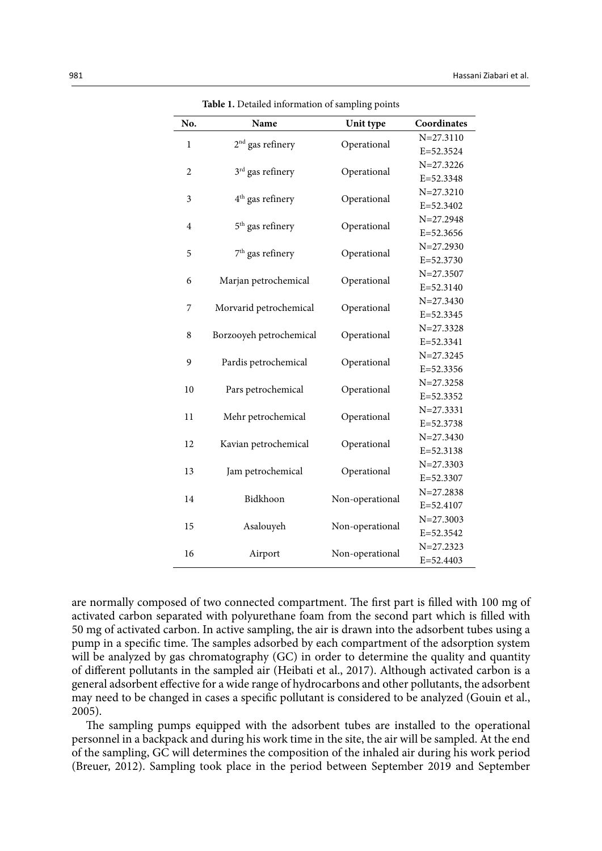| No.            | Name                         | Unit type                                                                                                                                                                                                                             | Coordinates   |  |
|----------------|------------------------------|---------------------------------------------------------------------------------------------------------------------------------------------------------------------------------------------------------------------------------------|---------------|--|
| $\mathbf{1}$   | $2nd$ gas refinery           |                                                                                                                                                                                                                                       | $N = 27.3110$ |  |
|                |                              | Operational<br>Operational<br>Operational<br>Operational<br>Operational<br>Operational<br>Operational<br>Operational<br>Operational<br>Operational<br>Operational<br>Operational<br>Operational<br>Non-operational<br>Non-operational | E=52.3524     |  |
| $\overline{2}$ | 3 <sup>rd</sup> gas refinery |                                                                                                                                                                                                                                       | $N = 27.3226$ |  |
|                |                              |                                                                                                                                                                                                                                       | E=52.3348     |  |
| $\mathfrak{Z}$ | 4 <sup>th</sup> gas refinery |                                                                                                                                                                                                                                       | $N = 27.3210$ |  |
|                |                              |                                                                                                                                                                                                                                       | E=52.3402     |  |
| $\overline{4}$ | 5 <sup>th</sup> gas refinery |                                                                                                                                                                                                                                       | $N = 27.2948$ |  |
|                |                              |                                                                                                                                                                                                                                       | $E = 52.3656$ |  |
| 5              | 7 <sup>th</sup> gas refinery |                                                                                                                                                                                                                                       | $N = 27.2930$ |  |
|                |                              |                                                                                                                                                                                                                                       | $E = 52.3730$ |  |
| 6              |                              |                                                                                                                                                                                                                                       | $N = 27.3507$ |  |
|                | Marjan petrochemical         | Non-operational                                                                                                                                                                                                                       | E=52.3140     |  |
| 7              | Morvarid petrochemical       |                                                                                                                                                                                                                                       | $N = 27.3430$ |  |
|                |                              |                                                                                                                                                                                                                                       | E=52.3345     |  |
| $\,$ 8 $\,$    | Borzooyeh petrochemical      |                                                                                                                                                                                                                                       | $N = 27.3328$ |  |
|                |                              |                                                                                                                                                                                                                                       | $E = 52.3341$ |  |
| 9              | Pardis petrochemical         |                                                                                                                                                                                                                                       | $N = 27.3245$ |  |
|                |                              |                                                                                                                                                                                                                                       | E=52.3356     |  |
| 10             | Pars petrochemical           |                                                                                                                                                                                                                                       | $N = 27.3258$ |  |
|                |                              |                                                                                                                                                                                                                                       | E=52.3352     |  |
| 11             | Mehr petrochemical           |                                                                                                                                                                                                                                       | $N = 27.3331$ |  |
|                |                              |                                                                                                                                                                                                                                       | E=52.3738     |  |
| 12             | Kavian petrochemical         |                                                                                                                                                                                                                                       | $N = 27.3430$ |  |
|                |                              |                                                                                                                                                                                                                                       | E=52.3138     |  |
| 13             | Jam petrochemical            |                                                                                                                                                                                                                                       | $N = 27.3303$ |  |
|                |                              |                                                                                                                                                                                                                                       | E=52.3307     |  |
| 14             | Bidkhoon                     |                                                                                                                                                                                                                                       | $N = 27.2838$ |  |
|                |                              |                                                                                                                                                                                                                                       | E=52.4107     |  |
| 15             | Asalouyeh                    |                                                                                                                                                                                                                                       | $N = 27.3003$ |  |
|                |                              |                                                                                                                                                                                                                                       | E=52.3542     |  |
| 16             | Airport                      |                                                                                                                                                                                                                                       | $N = 27.2323$ |  |
|                |                              |                                                                                                                                                                                                                                       | $E = 52.4403$ |  |

**Table 1.** Detailed information of sampling points

Table 1- Detailed information of sampling points and sampling points points and sampling points of sampling po<br>The contract of sampling points of sampling points of sampling points of sampling points of sampling points of

are normally composed of two connected compartment. The first part is filled with 100 mg of activated carbon separated with polyurethane foam from the second part which is filled with 50 mg of activated carbon. In active sampling, the air is drawn into the adsorbent tubes using a pump in a specific time. The samples adsorbed by each compartment of the adsorption system will be analyzed by gas chromatography (GC) in order to determine the quality and quantity of different pollutants in the sampled air (Heibati et al., 2017). Although activated carbon is a general adsorbent effective for a wide range of hydrocarbons and other pollutants, the adsorbent may need to be changed in cases a specific pollutant is considered to be analyzed (Gouin et al., 2005).

The sampling pumps equipped with the adsorbent tubes are installed to the operational personnel in a backpack and during his work time in the site, the air will be sampled. At the end of the sampling, GC will determines the composition of the inhaled air during his work period (Breuer, 2012). Sampling took place in the period between September 2019 and September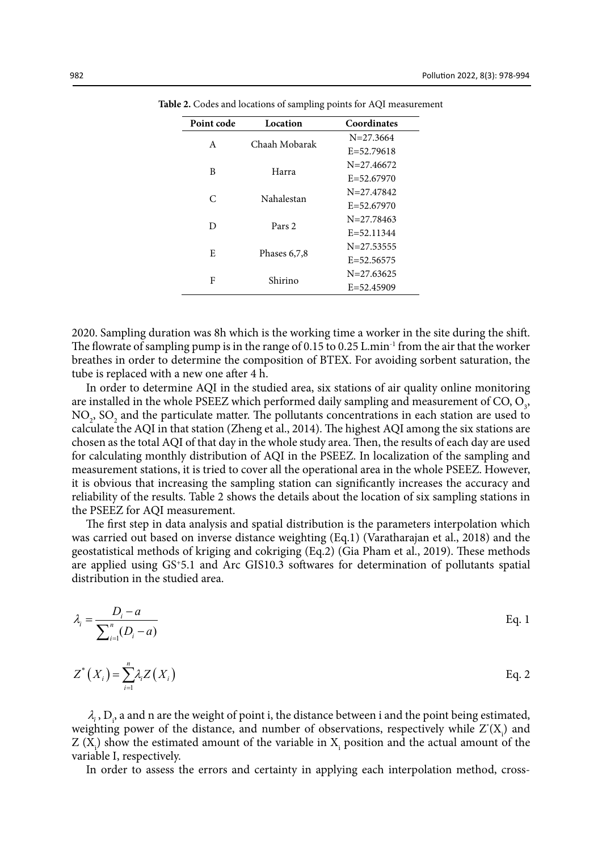| Point code | Location          | Coordinates    |  |  |
|------------|-------------------|----------------|--|--|
| A          | Chaah Mobarak     | $N = 27.3664$  |  |  |
|            |                   | $E = 52.79618$ |  |  |
| B          | Harra             | $N=27.46672$   |  |  |
|            |                   | $E = 52.67970$ |  |  |
| C          | Nahalestan        | $N = 27.47842$ |  |  |
|            |                   | $E = 52.67970$ |  |  |
| D          | Pars <sub>2</sub> | $N = 27.78463$ |  |  |
|            |                   | $E = 52.11344$ |  |  |
| E          |                   | $N = 27.53555$ |  |  |
|            | Phases $6,7,8$    | $E = 52.56575$ |  |  |
| F          | Shirino           | $N = 27.63625$ |  |  |
|            |                   | $E = 52.45909$ |  |  |

Table 2- Codes and locations of sampling points for AQI measurement **Table 2.** Codes and locations of sampling points for AQI measurement

2020. Sampling duration was 8h which is the working time a worker in the site during the shift. The flowrate of sampling pump is in the range of 0.15 to 0.25 L.min<sup>-1</sup> from the air that the worker breathes in order to determine the composition of BTEX. For avoiding sorbent saturation, the tube is replaced with a new one after 4 h.

In order to determine AQI in the studied area, six stations of air quality online monitoring are installed in the whole PSEEZ which performed daily sampling and measurement of  $CO$ ,  $O_3$ ,  $NO<sub>2</sub>$ ,  $SO<sub>2</sub>$  and the particulate matter. The pollutants concentrations in each station are used to calculate the AQI in that station (Zheng et al., 2014). The highest AQI among the six stations are chosen as the total AQI of that day in the whole study area. Then, the results of each day are used for calculating monthly distribution of AQI in the PSEEZ. In localization of the sampling and measurement stations, it is tried to cover all the operational area in the whole PSEEZ. However, it is obvious that increasing the sampling station can significantly increases the accuracy and reliability of the results. Table 2 shows the details about the location of six sampling stations in the PSEEZ for AQI measurement.

The first step in data analysis and spatial distribution is the parameters interpolation which was carried out based on inverse distance weighting (Eq.1) (Varatharajan et al., 2018) and the geostatistical methods of kriging and cokriging (Eq.2) (Gia Pham et al., 2019). These methods are applied using GS+5.1 and Arc GIS10.3 softwares for determination of pollutants spatial distribution in the studied area.

$$
\lambda_i = \frac{D_i - a}{\sum_{i=1}^n (D_i - a)} \tag{Eq. 1}
$$

$$
Z^*(X_i) = \sum_{i=1}^n \lambda_i Z(X_i)
$$
 Eq. 2

 $\lambda_i$ ,  $D_i$ , a and n are the weight of point i, the distance between i and the point being estimated, weighting power of the distance, and number of observations, respectively while  $Z^*(X)$  and  $Z(X_i)$  show the estimated amount of the variable in  $X_i$  position and the actual amount of the variable I, respectively.

In order to assess the errors and certainty in applying each interpolation method, cross-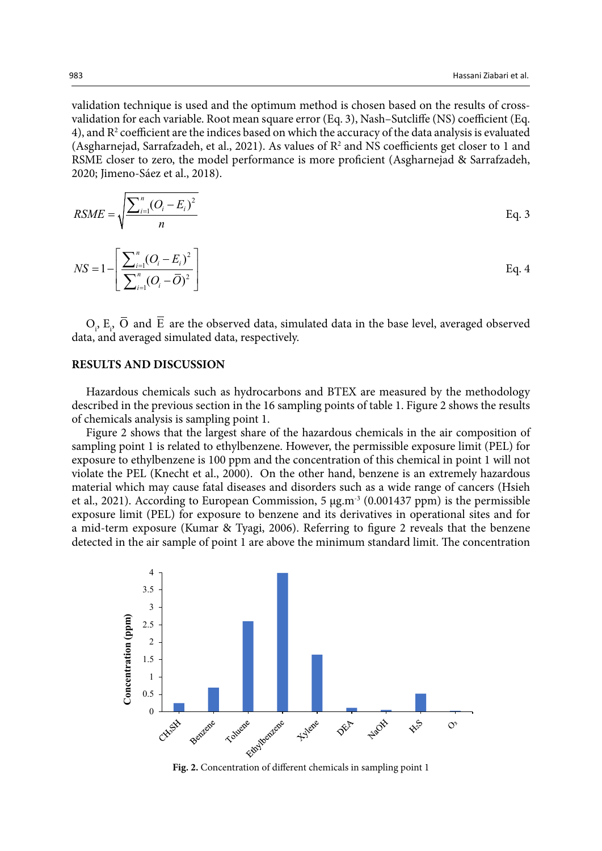validation technique is used and the optimum method is chosen based on the results of crossvalidation for each variable. Root mean square error (Eq. 3), Nash–Sutcliffe (NS) coefficient (Eq. 4), and  $\mathbb{R}^2$  coefficient are the indices based on which the accuracy of the data analysis is evaluated (Asgharnejad, Sarrafzadeh, et al., 2021). As values of  $R^2$  and NS coefficients get closer to 1 and RSME closer to zero, the model performance is more proficient (Asgharnejad & Sarrafzadeh, 2020; Jimeno-Sáez et al., 2018).

$$
RSME = \sqrt{\frac{\sum_{i=1}^{n} (O_i - E_i)^2}{n}}
$$
 Eq. 3

$$
NS = 1 - \left[ \frac{\sum_{i=1}^{n} (O_i - E_i)^2}{\sum_{i=1}^{n} (O_i - \overline{O})^2} \right]
$$
 Eq. 4

 $O_i$ ,  $E_i$  O and E are the observed data, simulated data in the base level, averaged observed data, and averaged simulated data, respectively.

## **RESULTS AND DISCUSSION**

Hazardous chemicals such as hydrocarbons and BTEX are measured by the methodology described in the previous section in the 16 sampling points of table 1. Figure 2 shows the results of chemicals analysis is sampling point 1.

Figure 2 shows that the largest share of the hazardous chemicals in the air composition of sampling point 1 is related to ethylbenzene. However, the permissible exposure limit (PEL) for exposure to ethylbenzene is 100 ppm and the concentration of this chemical in point 1 will not violate the PEL (Knecht et al., 2000). On the other hand, benzene is an extremely hazardous material which may cause fatal diseases and disorders such as a wide range of cancers (Hsieh et al., 2021). According to European Commission, 5 μg.m-3 (0.001437 ppm) is the permissible exposure limit (PEL) for exposure to benzene and its derivatives in operational sites and for a mid-term exposure (Kumar & Tyagi, 2006). Referring to figure 2 reveals that the benzene detected in the air sample of point 1 are above the minimum standard limit. The concentration

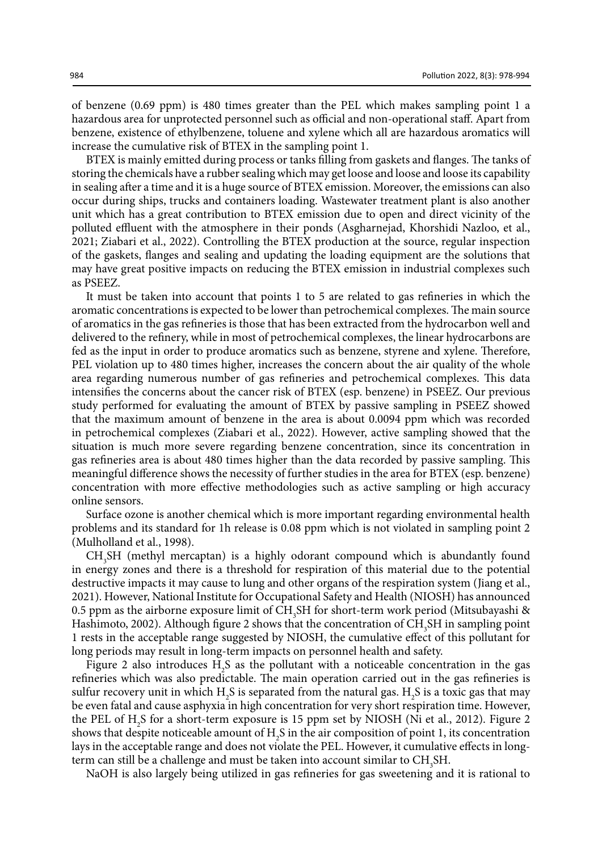of benzene (0.69 ppm) is 480 times greater than the PEL which makes sampling point 1 a hazardous area for unprotected personnel such as official and non-operational staff. Apart from benzene, existence of ethylbenzene, toluene and xylene which all are hazardous aromatics will increase the cumulative risk of BTEX in the sampling point 1.

BTEX is mainly emitted during process or tanks filling from gaskets and flanges. The tanks of storing the chemicals have a rubber sealing which may get loose and loose and loose its capability in sealing after a time and it is a huge source of BTEX emission. Moreover, the emissions can also occur during ships, trucks and containers loading. Wastewater treatment plant is also another unit which has a great contribution to BTEX emission due to open and direct vicinity of the polluted effluent with the atmosphere in their ponds (Asgharnejad, Khorshidi Nazloo, et al., 2021; Ziabari et al., 2022). Controlling the BTEX production at the source, regular inspection of the gaskets, flanges and sealing and updating the loading equipment are the solutions that may have great positive impacts on reducing the BTEX emission in industrial complexes such as PSEEZ.

It must be taken into account that points 1 to 5 are related to gas refineries in which the aromatic concentrations is expected to be lower than petrochemical complexes. The main source of aromatics in the gas refineries is those that has been extracted from the hydrocarbon well and delivered to the refinery, while in most of petrochemical complexes, the linear hydrocarbons are fed as the input in order to produce aromatics such as benzene, styrene and xylene. Therefore, PEL violation up to 480 times higher, increases the concern about the air quality of the whole area regarding numerous number of gas refineries and petrochemical complexes. This data intensifies the concerns about the cancer risk of BTEX (esp. benzene) in PSEEZ. Our previous study performed for evaluating the amount of BTEX by passive sampling in PSEEZ showed that the maximum amount of benzene in the area is about 0.0094 ppm which was recorded in petrochemical complexes (Ziabari et al., 2022). However, active sampling showed that the situation is much more severe regarding benzene concentration, since its concentration in gas refineries area is about 480 times higher than the data recorded by passive sampling. This meaningful difference shows the necessity of further studies in the area for BTEX (esp. benzene) concentration with more effective methodologies such as active sampling or high accuracy online sensors.

Surface ozone is another chemical which is more important regarding environmental health problems and its standard for 1h release is 0.08 ppm which is not violated in sampling point 2 (Mulholland et al., 1998).

CH<sub>3</sub>SH (methyl mercaptan) is a highly odorant compound which is abundantly found in energy zones and there is a threshold for respiration of this material due to the potential destructive impacts it may cause to lung and other organs of the respiration system (Jiang et al., 2021). However, National Institute for Occupational Safety and Health (NIOSH) has announced 0.5 ppm as the airborne exposure limit of  $\mathrm{CH_3SH}$  for short-term work period (Mitsubayashi & Hashimoto, 2002). Although figure 2 shows that the concentration of  $CH_3SH$  in sampling point 1 rests in the acceptable range suggested by NIOSH, the cumulative effect of this pollutant for long periods may result in long-term impacts on personnel health and safety.

Figure 2 also introduces  $H_2S$  as the pollutant with a noticeable concentration in the gas refineries which was also predictable. The main operation carried out in the gas refineries is sulfur recovery unit in which  $H_2S$  is separated from the natural gas.  $H_2S$  is a toxic gas that may be even fatal and cause asphyxia in high concentration for very short respiration time. However, the PEL of H2 S for a short-term exposure is 15 ppm set by NIOSH (Ni et al., 2012). Figure 2 shows that despite noticeable amount of  $H_2S$  in the air composition of point 1, its concentration lays in the acceptable range and does not violate the PEL. However, it cumulative effects in long $t$ erm can still be a challenge and must be taken into account similar to  $CH<sub>3</sub>SH$ .

NaOH is also largely being utilized in gas refineries for gas sweetening and it is rational to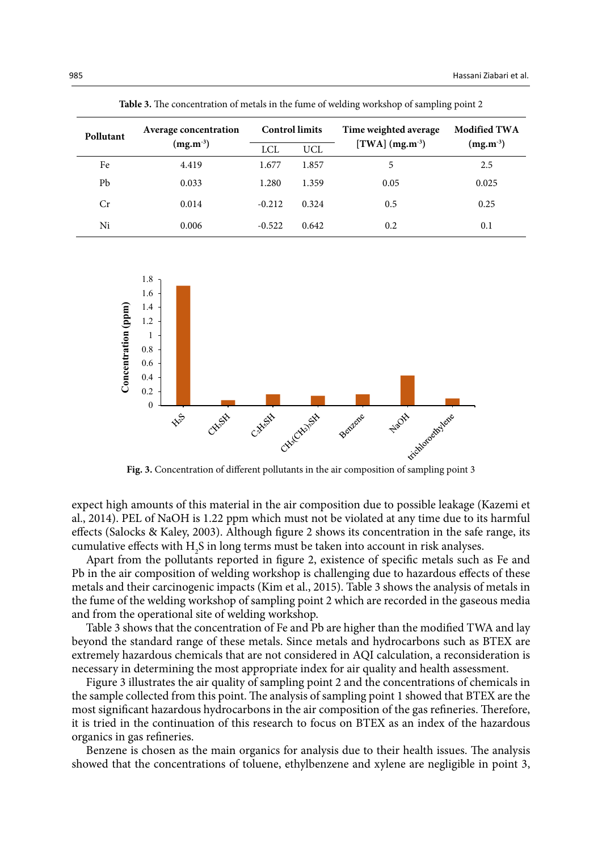| Pollutant | Average concentration<br>$(mg.m^{-3})$ | <b>Control limits</b> |            | Time weighted average | <b>Modified TWA</b> |  |
|-----------|----------------------------------------|-----------------------|------------|-----------------------|---------------------|--|
|           |                                        | <b>LCL</b>            | <b>UCL</b> | [TWA] $(mg.m^{-3})$   | $(mg.m^{-3})$       |  |
| Fe        | 4.419                                  | 1.677                 | 1.857      | 5                     | 2.5                 |  |
| Pb        | 0.033                                  | 1.280                 | 1.359      | 0.05                  | 0.025               |  |
| Cr        | 0.014                                  | $-0.212$              | 0.324      | 0.5                   | 0.25                |  |
| Ni        | 0.006                                  | $-0.522$              | 0.642      | 0.2                   | 0.1                 |  |

**Table 3.** The concentration of metals in the fume of welding workshop of sampling point 2

Table 3- The concentration of metals in the function of  $\mathcal{A}$  and  $\mathcal{A}$  and  $\mathcal{A}$  and  $\mathcal{A}$  and  $\mathcal{A}$ 



**Fig. 3.** Concentration of different pollutants in the air composition of sampling point 3

expect high amounts of this material in the air composition due to possible leakage (Kazemi et al., 2014). PEL of NaOH is 1.22 ppm which must not be violated at any time due to its harmful effects (Salocks & Kaley, 2003). Although figure 2 shows its concentration in the safe range, its cumulative effects with  $H_2S$  in long terms must be taken into account in risk analyses.

Apart from the pollutants reported in figure 2, existence of specific metals such as Fe and Pb in the air composition of welding workshop is challenging due to hazardous effects of these metals and their carcinogenic impacts (Kim et al., 2015). Table 3 shows the analysis of metals in the fume of the welding workshop of sampling point 2 which are recorded in the gaseous media and from the operational site of welding workshop.

Table 3 shows that the concentration of Fe and Pb are higher than the modified TWA and lay beyond the standard range of these metals. Since metals and hydrocarbons such as BTEX are extremely hazardous chemicals that are not considered in AQI calculation, a reconsideration is necessary in determining the most appropriate index for air quality and health assessment.

Figure 3 illustrates the air quality of sampling point 2 and the concentrations of chemicals in the sample collected from this point. The analysis of sampling point 1 showed that BTEX are the most significant hazardous hydrocarbons in the air composition of the gas refineries. Therefore, it is tried in the continuation of this research to focus on BTEX as an index of the hazardous organics in gas refineries.

Benzene is chosen as the main organics for analysis due to their health issues. The analysis showed that the concentrations of toluene, ethylbenzene and xylene are negligible in point 3,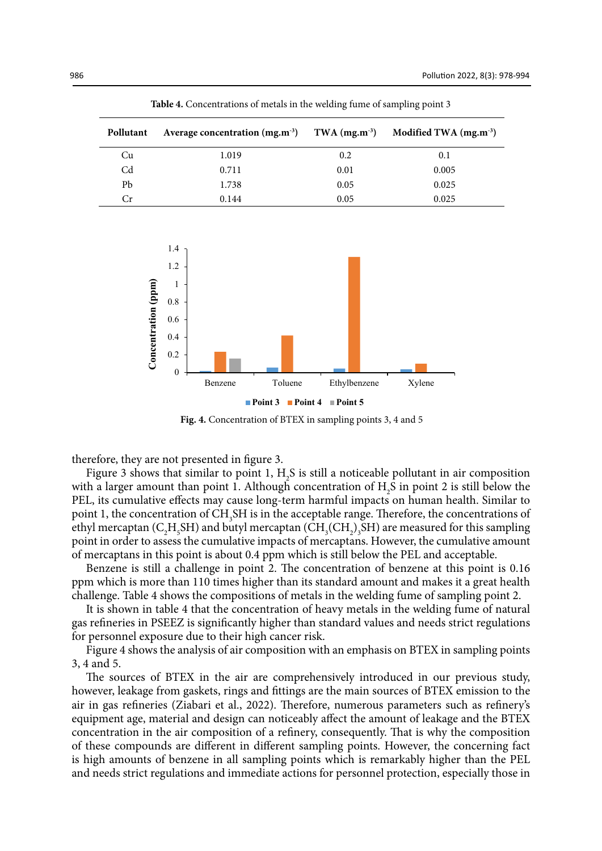| Pollutant      | Average concentration (mg.m <sup>-3</sup> ) TWA (mg.m <sup>-3</sup> ) Modified TWA (mg.m <sup>-3</sup> ) |      |       |
|----------------|----------------------------------------------------------------------------------------------------------|------|-------|
| Cu             | 1.019                                                                                                    | 0.2  | 0.1   |
| C <sub>d</sub> | 0.711                                                                                                    | 0.01 | 0.005 |
| Pb             | 1.738                                                                                                    | 0.05 | 0.025 |
| Сr             | 0.144                                                                                                    | 0.05 | 0.025 |

Table 4-  $\sim$  Concentrations of metals in the welding functions of  $\sim$ **Table 4.** Concentrations of metals in the welding fume of sampling point 3



**Fig. 4.** Concentration of BTEX in sampling points 3, 4 and 5

therefore, they are not presented in figure 3.

Figure 3 shows that similar to point 1,  $H_2S$  is still a noticeable pollutant in air composition with a larger amount than point 1. Although concentration of  $H_2S$  in point 2 is still below the PEL, its cumulative effects may cause long-term harmful impacts on human health. Similar to point 1, the concentration of CH<sub>3</sub>SH is in the acceptable range. Therefore, the concentrations of ethyl mercaptan ( $C_2H_5SH$ ) and butyl mercaptan ( $CH_3(CH_2)_3SH$ ) are measured for this sampling point in order to assess the cumulative impacts of mercaptans. However, the cumulative amount of mercaptans in this point is about 0.4 ppm which is still below the PEL and acceptable.

Benzene is still a challenge in point 2. The concentration of benzene at this point is 0.16 ppm which is more than 110 times higher than its standard amount and makes it a great health challenge. Table 4 shows the compositions of metals in the welding fume of sampling point 2.

It is shown in table 4 that the concentration of heavy metals in the welding fume of natural gas refineries in PSEEZ is significantly higher than standard values and needs strict regulations for personnel exposure due to their high cancer risk.

Figure 4 shows the analysis of air composition with an emphasis on BTEX in sampling points 3, 4 and 5.

The sources of BTEX in the air are comprehensively introduced in our previous study, however, leakage from gaskets, rings and fittings are the main sources of BTEX emission to the air in gas refineries (Ziabari et al., 2022). Therefore, numerous parameters such as refinery's equipment age, material and design can noticeably affect the amount of leakage and the BTEX concentration in the air composition of a refinery, consequently. That is why the composition of these compounds are different in different sampling points. However, the concerning fact is high amounts of benzene in all sampling points which is remarkably higher than the PEL and needs strict regulations and immediate actions for personnel protection, especially those in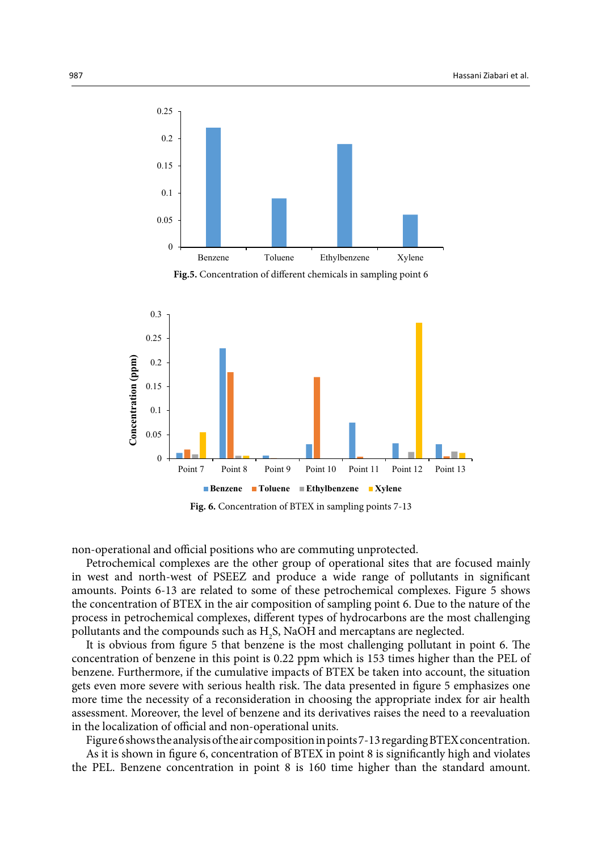

**Fig.5.** Concentration of different chemicals in sampling point 6



**Fig. 6.** Concentration of BTEX in sampling points 7-13

non-operational and official positions who are commuting unprotected. 

Petrochemical complexes are the other group of operational sites that are focused mainly in west and north-west of PSEEZ and produce a wide range of pollutants in significant amounts. Points 6-13 are related to some of these petrochemical complexes. Figure 5 shows the concentration of BTEX in the air composition of sampling point 6. Due to the nature of the process in petrochemical complexes, different types of hydrocarbons are the most challenging pollutants and the compounds such as  $H_2S$ , NaOH and mercaptans are neglected.

It is obvious from figure 5 that benzene is the most challenging pollutant in point 6. The concentration of benzene in this point is 0.22 ppm which is 153 times higher than the PEL of benzene. Furthermore, if the cumulative impacts of BTEX be taken into account, the situation gets even more severe with serious health risk. The data presented in figure 5 emphasizes one more time the necessity of a reconsideration in choosing the appropriate index for air health assessment. Moreover, the level of benzene and its derivatives raises the need to a reevaluation in the localization of official and non-operational units.

Figure 6 shows the analysis of the air composition in points 7-13 regarding BTEX concentration. As it is shown in figure 6, concentration of BTEX in point 8 is significantly high and violates the PEL. Benzene concentration in point 8 is 160 time higher than the standard amount.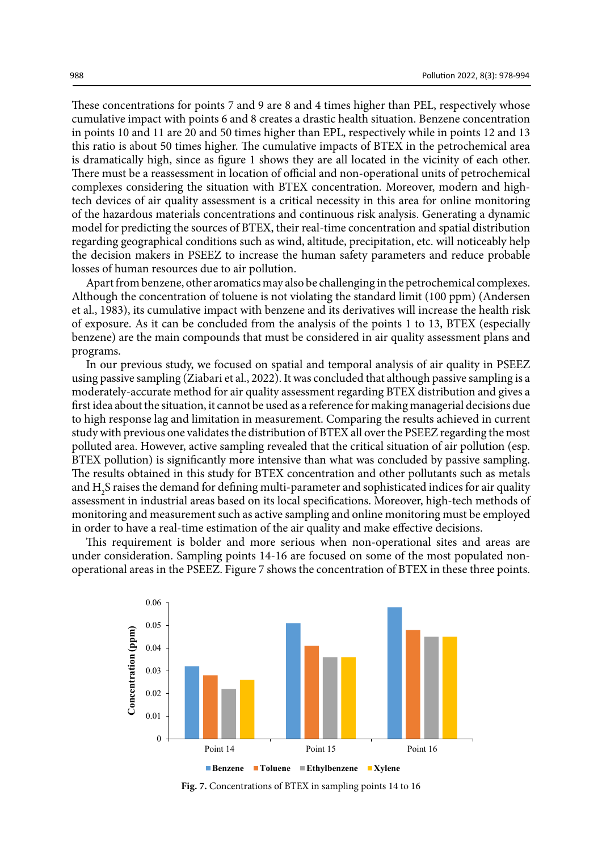These concentrations for points 7 and 9 are 8 and 4 times higher than PEL, respectively whose cumulative impact with points 6 and 8 creates a drastic health situation. Benzene concentration in points 10 and 11 are 20 and 50 times higher than EPL, respectively while in points 12 and 13 this ratio is about 50 times higher. The cumulative impacts of BTEX in the petrochemical area is dramatically high, since as figure 1 shows they are all located in the vicinity of each other. There must be a reassessment in location of official and non-operational units of petrochemical complexes considering the situation with BTEX concentration. Moreover, modern and hightech devices of air quality assessment is a critical necessity in this area for online monitoring of the hazardous materials concentrations and continuous risk analysis. Generating a dynamic model for predicting the sources of BTEX, their real-time concentration and spatial distribution regarding geographical conditions such as wind, altitude, precipitation, etc. will noticeably help the decision makers in PSEEZ to increase the human safety parameters and reduce probable losses of human resources due to air pollution.

Apart from benzene, other aromatics may also be challenging in the petrochemical complexes. Although the concentration of toluene is not violating the standard limit (100 ppm) (Andersen et al., 1983), its cumulative impact with benzene and its derivatives will increase the health risk of exposure. As it can be concluded from the analysis of the points 1 to 13, BTEX (especially benzene) are the main compounds that must be considered in air quality assessment plans and programs.

In our previous study, we focused on spatial and temporal analysis of air quality in PSEEZ using passive sampling (Ziabari et al., 2022). It was concluded that although passive sampling is a moderately-accurate method for air quality assessment regarding BTEX distribution and gives a first idea about the situation, it cannot be used as a reference for making managerial decisions due to high response lag and limitation in measurement. Comparing the results achieved in current study with previous one validates the distribution of BTEX all over the PSEEZ regarding the most polluted area. However, active sampling revealed that the critical situation of air pollution (esp. BTEX pollution) is significantly more intensive than what was concluded by passive sampling. The results obtained in this study for BTEX concentration and other pollutants such as metals and H2 S raises the demand for defining multi-parameter and sophisticated indices for air quality assessment in industrial areas based on its local specifications. Moreover, high-tech methods of monitoring and measurement such as active sampling and online monitoring must be employed in order to have a real-time estimation of the air quality and make effective decisions.

This requirement is bolder and more serious when non-operational sites and areas are under consideration. Sampling points 14-16 are focused on some of the most populated nonoperational areas in the PSEEZ. Figure 7 shows the concentration of BTEX in these three points.



**Fig. 7.** Concentrations of BTEX in sampling points 14 to 16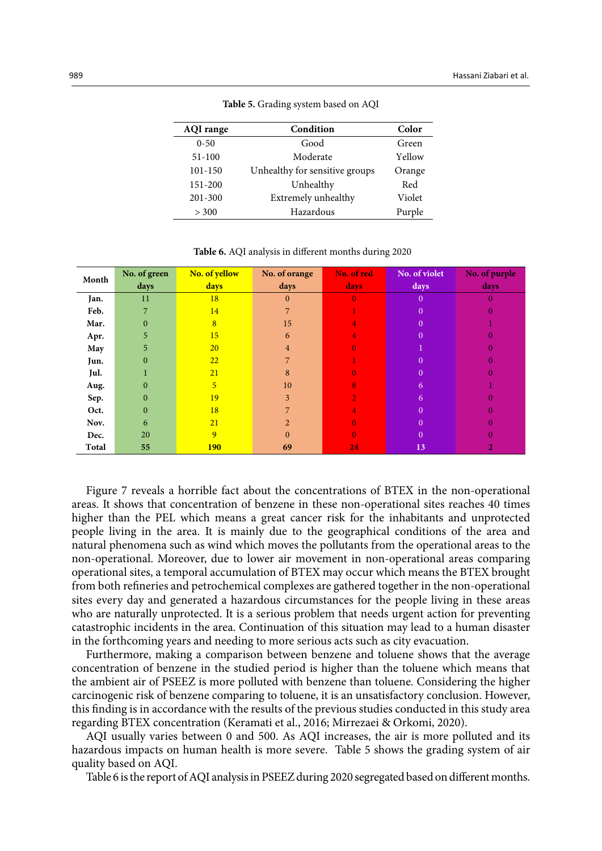| <b>AQI</b> range | Condition                      | Color  |
|------------------|--------------------------------|--------|
| $0 - 50$         | Good                           | Green  |
| $51 - 100$       | Moderate                       | Yellow |
| 101-150          | Unhealthy for sensitive groups | Orange |
| 151-200          | Unhealthy                      | Red    |
| 201-300          | Extremely unhealthy            | Violet |
| > 300            | Hazardous                      | Purple |

Table 5- Grading system based on AQI **Table 5.** Grading system based on AQI

| Month | No. of green | No. of yellow  | No. of orange  | No. of red | No. of violet  | No. of purple |
|-------|--------------|----------------|----------------|------------|----------------|---------------|
|       | days         | days           | days           | days       | days           | days          |
| Jan.  | 11           | 18             | $\mathbf{0}$   | $\Omega$   | $\overline{0}$ | 0             |
| Feb.  | 7            | 14             | 7              |            | $\overline{0}$ |               |
| Mar.  | $\bf{0}$     | 8              | 15             |            | $\Omega$       |               |
| Apr.  | 5            | 15             | 6              |            | $\mathbf{0}$   |               |
| May   | 5            | 20             | $\overline{4}$ |            |                |               |
| Jun.  | 0            | 22             | 7              |            | $\overline{0}$ |               |
| Jul.  |              | 21             | 8              |            | $\overline{0}$ |               |
| Aug.  | 0            | 5 <sup>5</sup> | 10             | 8          | 6              |               |
| Sep.  | 0            | 19             | 3              |            | 6              |               |
| Oct.  | $\Omega$     | 18             | 7              |            | $\theta$       |               |
| Nov.  | 6            | 21             | $\overline{2}$ |            | $\overline{0}$ |               |
| Dec.  | 20           | 9              | $\theta$       |            | $\theta$       |               |
| Total | 55           | <b>190</b>     | 69             | 24         | 13             |               |

**Table 6.** AQI analysis in different months during 2020

Figure 7 reveals a horrible fact about the concentrations of BTEX in the non-operational areas. It shows that concentration of benzene in these non-operational sites reaches 40 times higher than the PEL which means a great cancer risk for the inhabitants and unprotected people living in the area. It is mainly due to the geographical conditions of the area and natural phenomena such as wind which moves the pollutants from the operational areas to the non-operational. Moreover, due to lower air movement in non-operational areas comparing operational sites, a temporal accumulation of BTEX may occur which means the BTEX brought from both refineries and petrochemical complexes are gathered together in the non-operational sites every day and generated a hazardous circumstances for the people living in these areas who are naturally unprotected. It is a serious problem that needs urgent action for preventing catastrophic incidents in the area. Continuation of this situation may lead to a human disaster in the forthcoming years and needing to more serious acts such as city evacuation.

Furthermore, making a comparison between benzene and toluene shows that the average concentration of benzene in the studied period is higher than the toluene which means that the ambient air of PSEEZ is more polluted with benzene than toluene. Considering the higher carcinogenic risk of benzene comparing to toluene, it is an unsatisfactory conclusion. However, this finding is in accordance with the results of the previous studies conducted in this study area regarding BTEX concentration (Keramati et al., 2016; Mirrezaei & Orkomi, 2020).

AQI usually varies between 0 and 500. As AQI increases, the air is more polluted and its hazardous impacts on human health is more severe. Table 5 shows the grading system of air quality based on AQI.

Table 6 is the report of AQI analysis in PSEEZ during 2020 segregated based on different months.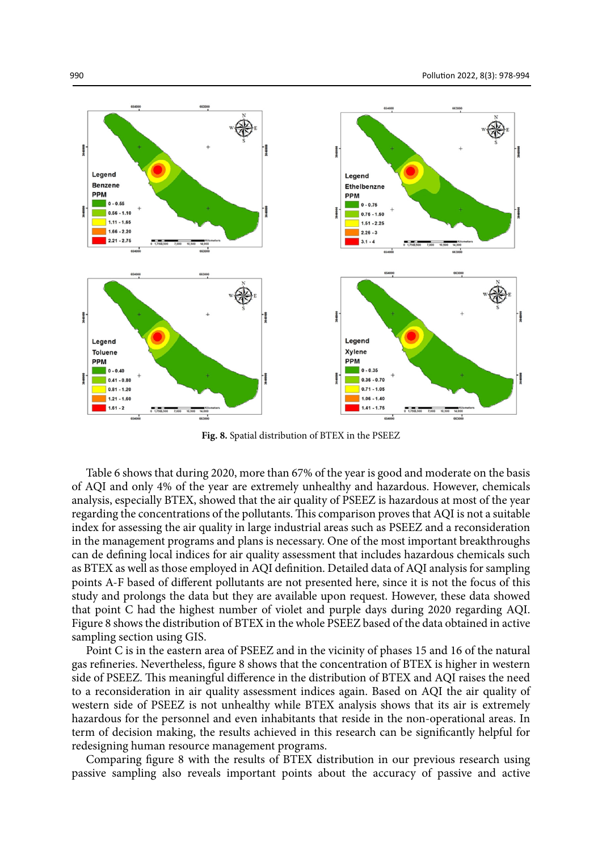

**Fig. 8.** Spatial distribution of BTEX in the PSEEZ

Table 6 shows that during 2020, more than 67% of the year is good and moderate on the basis of AQI and only 4% of the year are extremely unhealthy and hazardous. However, chemicals analysis, especially BTEX, showed that the air quality of PSEEZ is hazardous at most of the year regarding the concentrations of the pollutants. This comparison proves that AQI is not a suitable index for assessing the air quality in large industrial areas such as PSEEZ and a reconsideration in the management programs and plans is necessary. One of the most important breakthroughs can de defining local indices for air quality assessment that includes hazardous chemicals such as BTEX as well as those employed in AQI definition. Detailed data of AQI analysis for sampling points A-F based of different pollutants are not presented here, since it is not the focus of this study and prolongs the data but they are available upon request. However, these data showed that point C had the highest number of violet and purple days during 2020 regarding AQI. Figure 8 shows the distribution of BTEX in the whole PSEEZ based of the data obtained in active sampling section using GIS.

Point C is in the eastern area of PSEEZ and in the vicinity of phases 15 and 16 of the natural gas refineries. Nevertheless, figure 8 shows that the concentration of BTEX is higher in western side of PSEEZ. This meaningful difference in the distribution of BTEX and AQI raises the need to a reconsideration in air quality assessment indices again. Based on AQI the air quality of western side of PSEEZ is not unhealthy while BTEX analysis shows that its air is extremely hazardous for the personnel and even inhabitants that reside in the non-operational areas. In term of decision making, the results achieved in this research can be significantly helpful for redesigning human resource management programs.

Comparing figure 8 with the results of BTEX distribution in our previous research using passive sampling also reveals important points about the accuracy of passive and active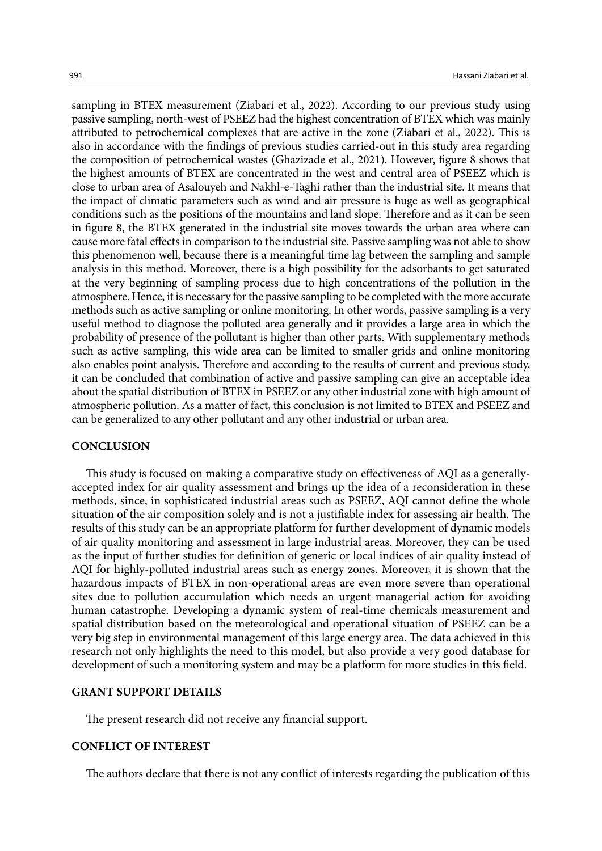sampling in BTEX measurement (Ziabari et al., 2022). According to our previous study using passive sampling, north-west of PSEEZ had the highest concentration of BTEX which was mainly attributed to petrochemical complexes that are active in the zone (Ziabari et al., 2022). This is also in accordance with the findings of previous studies carried-out in this study area regarding the composition of petrochemical wastes (Ghazizade et al., 2021). However, figure 8 shows that the highest amounts of BTEX are concentrated in the west and central area of PSEEZ which is close to urban area of Asalouyeh and Nakhl-e-Taghi rather than the industrial site. It means that the impact of climatic parameters such as wind and air pressure is huge as well as geographical conditions such as the positions of the mountains and land slope. Therefore and as it can be seen in figure 8, the BTEX generated in the industrial site moves towards the urban area where can cause more fatal effects in comparison to the industrial site. Passive sampling was not able to show this phenomenon well, because there is a meaningful time lag between the sampling and sample analysis in this method. Moreover, there is a high possibility for the adsorbants to get saturated at the very beginning of sampling process due to high concentrations of the pollution in the atmosphere. Hence, it is necessary for the passive sampling to be completed with the more accurate methods such as active sampling or online monitoring. In other words, passive sampling is a very useful method to diagnose the polluted area generally and it provides a large area in which the probability of presence of the pollutant is higher than other parts. With supplementary methods such as active sampling, this wide area can be limited to smaller grids and online monitoring also enables point analysis. Therefore and according to the results of current and previous study, it can be concluded that combination of active and passive sampling can give an acceptable idea about the spatial distribution of BTEX in PSEEZ or any other industrial zone with high amount of atmospheric pollution. As a matter of fact, this conclusion is not limited to BTEX and PSEEZ and can be generalized to any other pollutant and any other industrial or urban area.

#### **CONCLUSION**

This study is focused on making a comparative study on effectiveness of AQI as a generallyaccepted index for air quality assessment and brings up the idea of a reconsideration in these methods, since, in sophisticated industrial areas such as PSEEZ, AQI cannot define the whole situation of the air composition solely and is not a justifiable index for assessing air health. The results of this study can be an appropriate platform for further development of dynamic models of air quality monitoring and assessment in large industrial areas. Moreover, they can be used as the input of further studies for definition of generic or local indices of air quality instead of AQI for highly-polluted industrial areas such as energy zones. Moreover, it is shown that the hazardous impacts of BTEX in non-operational areas are even more severe than operational sites due to pollution accumulation which needs an urgent managerial action for avoiding human catastrophe. Developing a dynamic system of real-time chemicals measurement and spatial distribution based on the meteorological and operational situation of PSEEZ can be a very big step in environmental management of this large energy area. The data achieved in this research not only highlights the need to this model, but also provide a very good database for development of such a monitoring system and may be a platform for more studies in this field.

## **GRANT SUPPORT DETAILS**

The present research did not receive any financial support.

# **CONFLICT OF INTEREST**

The authors declare that there is not any conflict of interests regarding the publication of this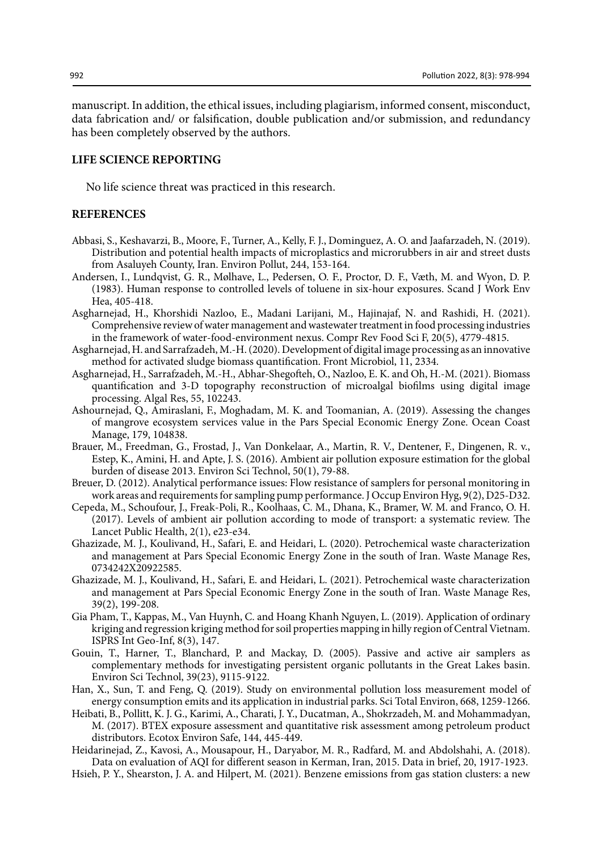manuscript. In addition, the ethical issues, including plagiarism, informed consent, misconduct, data fabrication and/ or falsification, double publication and/or submission, and redundancy has been completely observed by the authors.

# **LIFE SCIENCE REPORTING**

No life science threat was practiced in this research.

## **REFERENCES**

- Abbasi, S., Keshavarzi, B., Moore, F., Turner, A., Kelly, F. J., Dominguez, A. O. and Jaafarzadeh, N. (2019). Distribution and potential health impacts of microplastics and microrubbers in air and street dusts from Asaluyeh County, Iran. Environ Pollut, 244, 153-164.
- Andersen, I., Lundqvist, G. R., Mølhave, L., Pedersen, O. F., Proctor, D. F., Væth, M. and Wyon, D. P. (1983). Human response to controlled levels of toluene in six-hour exposures. Scand J Work Env Hea, 405-418.
- Asgharnejad, H., Khorshidi Nazloo, E., Madani Larijani, M., Hajinajaf, N. and Rashidi, H. (2021). Comprehensive review of water management and wastewater treatment in food processing industries in the framework of water‐food‐environment nexus. Compr Rev Food Sci F, 20(5), 4779-4815.
- Asgharnejad, H. and Sarrafzadeh, M.-H. (2020). Development of digital image processing as an innovative method for activated sludge biomass quantification. Front Microbiol, 11, 2334.
- Asgharnejad, H., Sarrafzadeh, M.-H., Abhar-Shegofteh, O., Nazloo, E. K. and Oh, H.-M. (2021). Biomass quantification and 3-D topography reconstruction of microalgal biofilms using digital image processing. Algal Res, 55, 102243.
- Ashournejad, Q., Amiraslani, F., Moghadam, M. K. and Toomanian, A. (2019). Assessing the changes of mangrove ecosystem services value in the Pars Special Economic Energy Zone. Ocean Coast Manage, 179, 104838.
- Brauer, M., Freedman, G., Frostad, J., Van Donkelaar, A., Martin, R. V., Dentener, F., Dingenen, R. v., Estep, K., Amini, H. and Apte, J. S. (2016). Ambient air pollution exposure estimation for the global burden of disease 2013. Environ Sci Technol, 50(1), 79-88.
- Breuer, D. (2012). Analytical performance issues: Flow resistance of samplers for personal monitoring in work areas and requirements for sampling pump performance. J Occup Environ Hyg, 9(2), D25-D32.
- Cepeda, M., Schoufour, J., Freak-Poli, R., Koolhaas, C. M., Dhana, K., Bramer, W. M. and Franco, O. H. (2017). Levels of ambient air pollution according to mode of transport: a systematic review. The Lancet Public Health, 2(1), e23-e34.
- Ghazizade, M. J., Koulivand, H., Safari, E. and Heidari, L. (2020). Petrochemical waste characterization and management at Pars Special Economic Energy Zone in the south of Iran. Waste Manage Res, 0734242X20922585.
- Ghazizade, M. J., Koulivand, H., Safari, E. and Heidari, L. (2021). Petrochemical waste characterization and management at Pars Special Economic Energy Zone in the south of Iran. Waste Manage Res, 39(2), 199-208.
- Gia Pham, T., Kappas, M., Van Huynh, C. and Hoang Khanh Nguyen, L. (2019). Application of ordinary kriging and regression kriging method for soil properties mapping in hilly region of Central Vietnam. ISPRS Int Geo-Inf, 8(3), 147.
- Gouin, T., Harner, T., Blanchard, P. and Mackay, D. (2005). Passive and active air samplers as complementary methods for investigating persistent organic pollutants in the Great Lakes basin. Environ Sci Technol, 39(23), 9115-9122.
- Han, X., Sun, T. and Feng, Q. (2019). Study on environmental pollution loss measurement model of energy consumption emits and its application in industrial parks. Sci Total Environ, 668, 1259-1266.
- Heibati, B., Pollitt, K. J. G., Karimi, A., Charati, J. Y., Ducatman, A., Shokrzadeh, M. and Mohammadyan, M. (2017). BTEX exposure assessment and quantitative risk assessment among petroleum product distributors. Ecotox Environ Safe, 144, 445-449.
- Heidarinejad, Z., Kavosi, A., Mousapour, H., Daryabor, M. R., Radfard, M. and Abdolshahi, A. (2018). Data on evaluation of AQI for different season in Kerman, Iran, 2015. Data in brief, 20, 1917-1923.
- Hsieh, P. Y., Shearston, J. A. and Hilpert, M. (2021). Benzene emissions from gas station clusters: a new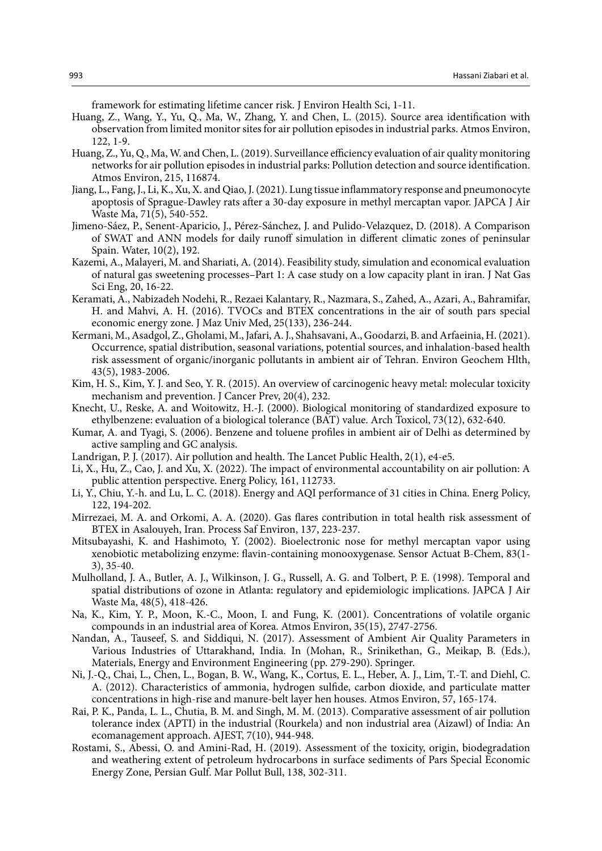framework for estimating lifetime cancer risk. J Environ Health Sci, 1-11.

- Huang, Z., Wang, Y., Yu, Q., Ma, W., Zhang, Y. and Chen, L. (2015). Source area identification with observation from limited monitor sites for air pollution episodes in industrial parks. Atmos Environ, 122, 1-9.
- Huang, Z., Yu, Q., Ma, W. and Chen, L. (2019). Surveillance efficiency evaluation of air quality monitoring networks for air pollution episodes in industrial parks: Pollution detection and source identification. Atmos Environ, 215, 116874.
- Jiang, L., Fang, J., Li, K., Xu, X. and Qiao, J. (2021). Lung tissue inflammatory response and pneumonocyte apoptosis of Sprague-Dawley rats after a 30-day exposure in methyl mercaptan vapor. JAPCA J Air Waste Ma, 71(5), 540-552.
- Jimeno-Sáez, P., Senent-Aparicio, J., Pérez-Sánchez, J. and Pulido-Velazquez, D. (2018). A Comparison of SWAT and ANN models for daily runoff simulation in different climatic zones of peninsular Spain. Water, 10(2), 192.
- Kazemi, A., Malayeri, M. and Shariati, A. (2014). Feasibility study, simulation and economical evaluation of natural gas sweetening processes–Part 1: A case study on a low capacity plant in iran. J Nat Gas Sci Eng, 20, 16-22.
- Keramati, A., Nabizadeh Nodehi, R., Rezaei Kalantary, R., Nazmara, S., Zahed, A., Azari, A., Bahramifar, H. and Mahvi, A. H. (2016). TVOCs and BTEX concentrations in the air of south pars special economic energy zone. J Maz Univ Med, 25(133), 236-244.
- Kermani, M., Asadgol, Z., Gholami, M., Jafari, A. J., Shahsavani, A., Goodarzi, B. and Arfaeinia, H. (2021). Occurrence, spatial distribution, seasonal variations, potential sources, and inhalation-based health risk assessment of organic/inorganic pollutants in ambient air of Tehran. Environ Geochem Hlth, 43(5), 1983-2006.
- Kim, H. S., Kim, Y. J. and Seo, Y. R. (2015). An overview of carcinogenic heavy metal: molecular toxicity mechanism and prevention. J Cancer Prev, 20(4), 232.
- Knecht, U., Reske, A. and Woitowitz, H.-J. (2000). Biological monitoring of standardized exposure to ethylbenzene: evaluation of a biological tolerance (BAT) value. Arch Toxicol, 73(12), 632-640.
- Kumar, A. and Tyagi, S. (2006). Benzene and toluene profiles in ambient air of Delhi as determined by active sampling and GC analysis.
- Landrigan, P. J. (2017). Air pollution and health. The Lancet Public Health, 2(1), e4-e5.
- Li, X., Hu, Z., Cao, J. and Xu, X. (2022). The impact of environmental accountability on air pollution: A public attention perspective. Energ Policy, 161, 112733.
- Li, Y., Chiu, Y.-h. and Lu, L. C. (2018). Energy and AQI performance of 31 cities in China. Energ Policy, 122, 194-202.
- Mirrezaei, M. A. and Orkomi, A. A. (2020). Gas flares contribution in total health risk assessment of BTEX in Asalouyeh, Iran. Process Saf Environ, 137, 223-237.
- Mitsubayashi, K. and Hashimoto, Y. (2002). Bioelectronic nose for methyl mercaptan vapor using xenobiotic metabolizing enzyme: flavin-containing monooxygenase. Sensor Actuat B-Chem, 83(1- 3), 35-40.
- Mulholland, J. A., Butler, A. J., Wilkinson, J. G., Russell, A. G. and Tolbert, P. E. (1998). Temporal and spatial distributions of ozone in Atlanta: regulatory and epidemiologic implications. JAPCA J Air Waste Ma, 48(5), 418-426.
- Na, K., Kim, Y. P., Moon, K.-C., Moon, I. and Fung, K. (2001). Concentrations of volatile organic compounds in an industrial area of Korea. Atmos Environ, 35(15), 2747-2756.
- Nandan, A., Tauseef, S. and Siddiqui, N. (2017). Assessment of Ambient Air Quality Parameters in Various Industries of Uttarakhand, India. In (Mohan, R., Srinikethan, G., Meikap, B. (Eds.), Materials, Energy and Environment Engineering (pp. 279-290). Springer.
- Ni, J.-Q., Chai, L., Chen, L., Bogan, B. W., Wang, K., Cortus, E. L., Heber, A. J., Lim, T.-T. and Diehl, C. A. (2012). Characteristics of ammonia, hydrogen sulfide, carbon dioxide, and particulate matter concentrations in high-rise and manure-belt layer hen houses. Atmos Environ, 57, 165-174.
- Rai, P. K., Panda, L. L., Chutia, B. M. and Singh, M. M. (2013). Comparative assessment of air pollution tolerance index (APTI) in the industrial (Rourkela) and non industrial area (Aizawl) of India: An ecomanagement approach. AJEST, 7(10), 944-948.
- Rostami, S., Abessi, O. and Amini-Rad, H. (2019). Assessment of the toxicity, origin, biodegradation and weathering extent of petroleum hydrocarbons in surface sediments of Pars Special Economic Energy Zone, Persian Gulf. Mar Pollut Bull, 138, 302-311.